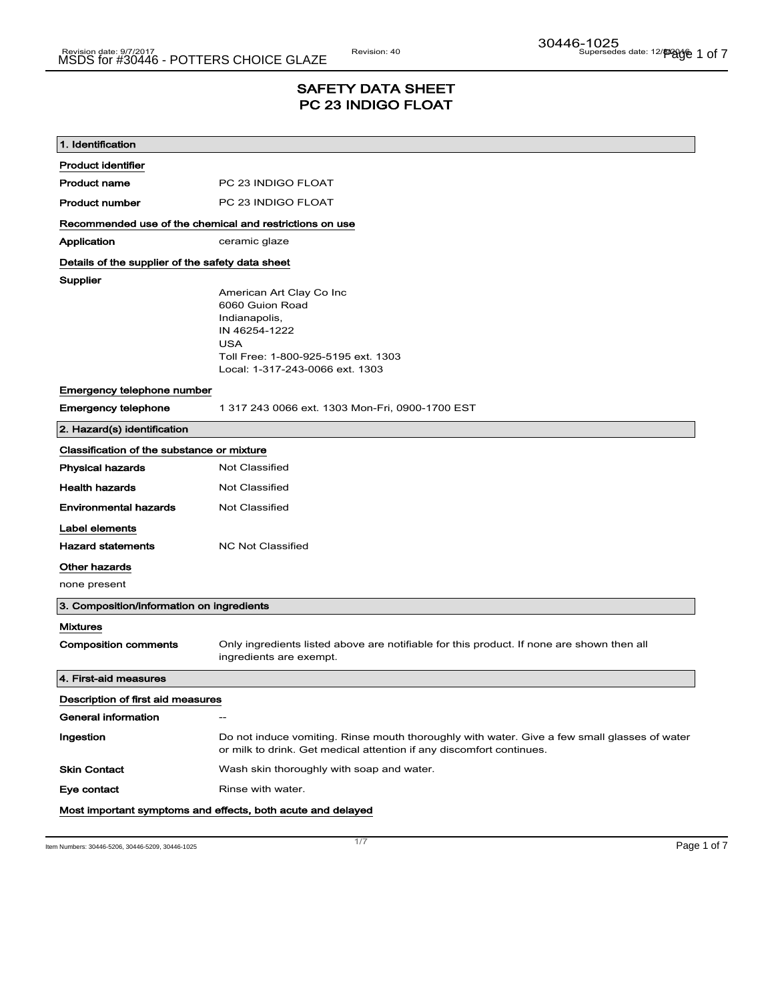# SAFETY DATA SHEET PC 23 INDIGO FLOAT

| 1. Identification                                |                                                                                                                                                                       |  |  |
|--------------------------------------------------|-----------------------------------------------------------------------------------------------------------------------------------------------------------------------|--|--|
| <b>Product identifier</b>                        |                                                                                                                                                                       |  |  |
| <b>Product name</b>                              | PC 23 INDIGO FLOAT                                                                                                                                                    |  |  |
| <b>Product number</b>                            | PC 23 INDIGO FLOAT                                                                                                                                                    |  |  |
|                                                  | Recommended use of the chemical and restrictions on use                                                                                                               |  |  |
| Application                                      | ceramic glaze                                                                                                                                                         |  |  |
| Details of the supplier of the safety data sheet |                                                                                                                                                                       |  |  |
| Supplier                                         | American Art Clay Co Inc<br>6060 Guion Road<br>Indianapolis,<br>IN 46254-1222<br><b>USA</b><br>Toll Free: 1-800-925-5195 ext. 1303<br>Local: 1-317-243-0066 ext. 1303 |  |  |
| Emergency telephone number                       |                                                                                                                                                                       |  |  |
| <b>Emergency telephone</b>                       | 1 317 243 0066 ext. 1303 Mon-Fri, 0900-1700 EST                                                                                                                       |  |  |
| 2. Hazard(s) identification                      |                                                                                                                                                                       |  |  |
| Classification of the substance or mixture       |                                                                                                                                                                       |  |  |
| <b>Physical hazards</b>                          | <b>Not Classified</b>                                                                                                                                                 |  |  |
| <b>Health hazards</b>                            | Not Classified                                                                                                                                                        |  |  |
| <b>Environmental hazards</b>                     | Not Classified                                                                                                                                                        |  |  |
| Label elements                                   |                                                                                                                                                                       |  |  |
| <b>Hazard statements</b>                         | <b>NC Not Classified</b>                                                                                                                                              |  |  |
| Other hazards<br>none present                    |                                                                                                                                                                       |  |  |
| 3. Composition/information on ingredients        |                                                                                                                                                                       |  |  |
| <b>Mixtures</b>                                  |                                                                                                                                                                       |  |  |
| <b>Composition comments</b>                      | Only ingredients listed above are notifiable for this product. If none are shown then all<br>ingredients are exempt.                                                  |  |  |
| 4. First-aid measures                            |                                                                                                                                                                       |  |  |
| Description of first aid measures                |                                                                                                                                                                       |  |  |
| General information                              | $\hspace{0.05cm} -\hspace{0.05cm}$                                                                                                                                    |  |  |
| Ingestion                                        | Do not induce vomiting. Rinse mouth thoroughly with water. Give a few small glasses of water<br>or milk to drink. Get medical attention if any discomfort continues.  |  |  |
| <b>Skin Contact</b>                              | Wash skin thoroughly with soap and water.                                                                                                                             |  |  |
| Eye contact                                      | Rinse with water.                                                                                                                                                     |  |  |
|                                                  | Most important symptoms and effects, both acute and delayed                                                                                                           |  |  |

Item Numbers: 30446-5206, 30446-5209, 30446-1025 Page 1 of 7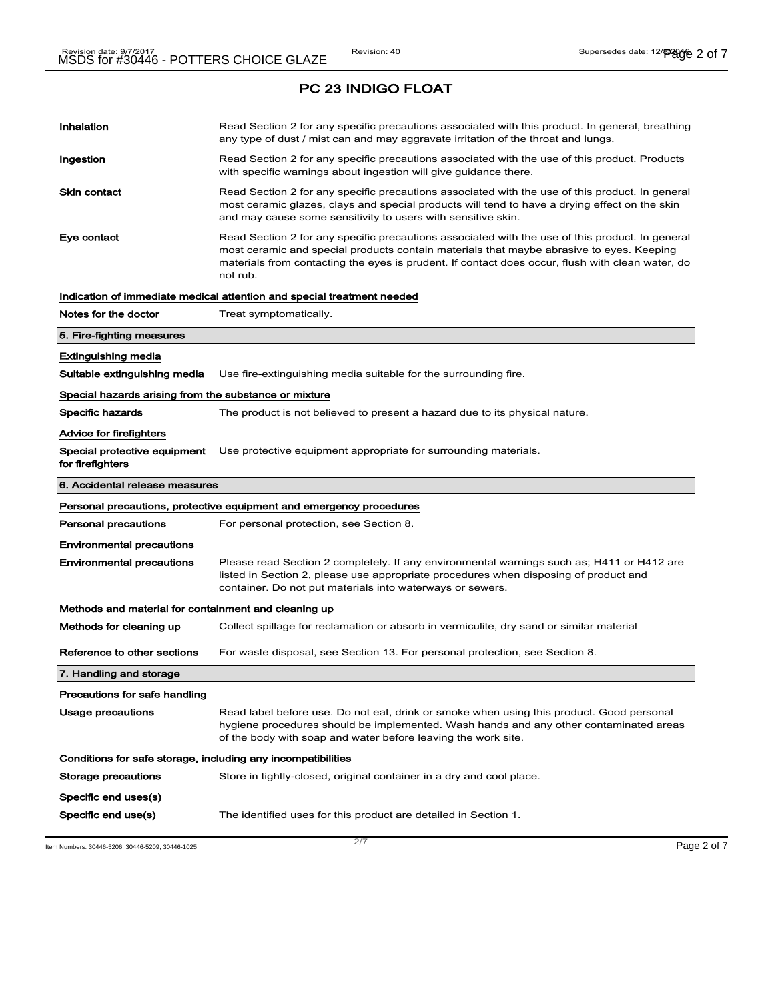| Inhalation                                                   | Read Section 2 for any specific precautions associated with this product. In general, breathing<br>any type of dust / mist can and may aggravate irritation of the throat and lungs.                                                                                                                        |  |
|--------------------------------------------------------------|-------------------------------------------------------------------------------------------------------------------------------------------------------------------------------------------------------------------------------------------------------------------------------------------------------------|--|
| Ingestion                                                    | Read Section 2 for any specific precautions associated with the use of this product. Products<br>with specific warnings about ingestion will give guidance there.                                                                                                                                           |  |
| Skin contact                                                 | Read Section 2 for any specific precautions associated with the use of this product. In general<br>most ceramic glazes, clays and special products will tend to have a drying effect on the skin<br>and may cause some sensitivity to users with sensitive skin.                                            |  |
| Eye contact                                                  | Read Section 2 for any specific precautions associated with the use of this product. In general<br>most ceramic and special products contain materials that maybe abrasive to eyes. Keeping<br>materials from contacting the eyes is prudent. If contact does occur, flush with clean water, do<br>not rub. |  |
|                                                              | Indication of immediate medical attention and special treatment needed                                                                                                                                                                                                                                      |  |
| Notes for the doctor                                         | Treat symptomatically.                                                                                                                                                                                                                                                                                      |  |
| 5. Fire-fighting measures                                    |                                                                                                                                                                                                                                                                                                             |  |
| Extinguishing media                                          |                                                                                                                                                                                                                                                                                                             |  |
| Suitable extinguishing media                                 | Use fire-extinguishing media suitable for the surrounding fire.                                                                                                                                                                                                                                             |  |
| Special hazards arising from the substance or mixture        |                                                                                                                                                                                                                                                                                                             |  |
| <b>Specific hazards</b>                                      | The product is not believed to present a hazard due to its physical nature.                                                                                                                                                                                                                                 |  |
| Advice for firefighters                                      |                                                                                                                                                                                                                                                                                                             |  |
| for firefighters                                             | Special protective equipment Use protective equipment appropriate for surrounding materials.                                                                                                                                                                                                                |  |
| 6. Accidental release measures                               |                                                                                                                                                                                                                                                                                                             |  |
|                                                              | Personal precautions, protective equipment and emergency procedures                                                                                                                                                                                                                                         |  |
| Personal precautions                                         | For personal protection, see Section 8.                                                                                                                                                                                                                                                                     |  |
| Environmental precautions                                    |                                                                                                                                                                                                                                                                                                             |  |
| <b>Environmental precautions</b>                             | Please read Section 2 completely. If any environmental warnings such as; H411 or H412 are<br>listed in Section 2, please use appropriate procedures when disposing of product and<br>container. Do not put materials into waterways or sewers.                                                              |  |
| Methods and material for containment and cleaning up         |                                                                                                                                                                                                                                                                                                             |  |
| Methods for cleaning up                                      | Collect spillage for reclamation or absorb in vermiculite, dry sand or similar material                                                                                                                                                                                                                     |  |
| Reference to other sections                                  | For waste disposal, see Section 13. For personal protection, see Section 8.                                                                                                                                                                                                                                 |  |
| 7. Handling and storage                                      |                                                                                                                                                                                                                                                                                                             |  |
|                                                              |                                                                                                                                                                                                                                                                                                             |  |
| Precautions for safe handling                                |                                                                                                                                                                                                                                                                                                             |  |
| Usage precautions                                            | Read label before use. Do not eat, drink or smoke when using this product. Good personal<br>hygiene procedures should be implemented. Wash hands and any other contaminated areas<br>of the body with soap and water before leaving the work site.                                                          |  |
| Conditions for safe storage, including any incompatibilities |                                                                                                                                                                                                                                                                                                             |  |
| Storage precautions                                          | Store in tightly-closed, original container in a dry and cool place.                                                                                                                                                                                                                                        |  |
| Specific end uses(s)                                         |                                                                                                                                                                                                                                                                                                             |  |

Item Numbers: 30446-5206, 30446-5209, 30446-1025 Page 2 of 7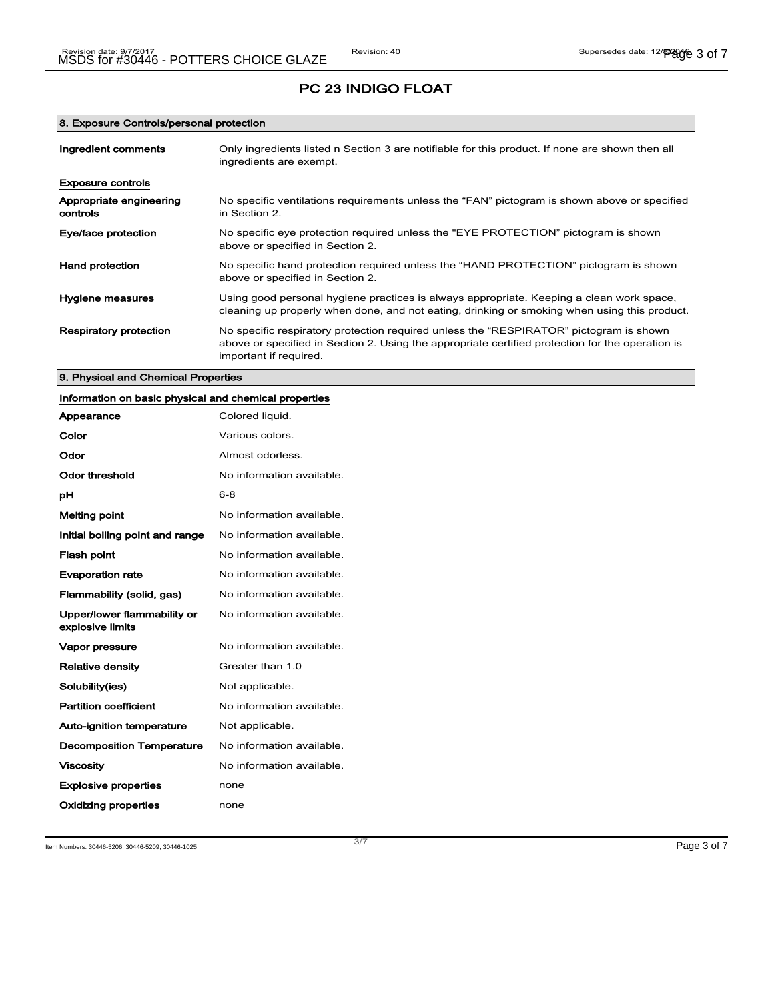### 8. Exposure Controls/personal protection

| Ingredient comments                 | Only ingredients listed n Section 3 are notifiable for this product. If none are shown then all<br>ingredients are exempt.                                                                                           |  |
|-------------------------------------|----------------------------------------------------------------------------------------------------------------------------------------------------------------------------------------------------------------------|--|
| Exposure controls                   |                                                                                                                                                                                                                      |  |
| Appropriate engineering<br>controls | No specific ventilations requirements unless the "FAN" pictogram is shown above or specified<br>in Section 2.                                                                                                        |  |
| Eye/face protection                 | No specific eye protection required unless the "EYE PROTECTION" pictogram is shown<br>above or specified in Section 2.                                                                                               |  |
| Hand protection                     | No specific hand protection required unless the "HAND PROTECTION" pictogram is shown<br>above or specified in Section 2.                                                                                             |  |
| Hygiene measures                    | Using good personal hygiene practices is always appropriate. Keeping a clean work space,<br>cleaning up properly when done, and not eating, drinking or smoking when using this product.                             |  |
| <b>Respiratory protection</b>       | No specific respiratory protection required unless the "RESPIRATOR" pictogram is shown<br>above or specified in Section 2. Using the appropriate certified protection for the operation is<br>important if required. |  |

### 9. Physical and Chemical Properties

| Information on basic physical and chemical properties |                           |
|-------------------------------------------------------|---------------------------|
| Appearance                                            | Colored liquid.           |
| Color                                                 | Various colors.           |
| Odor                                                  | Almost odorless.          |
| <b>Odor threshold</b>                                 | No information available. |
| рH                                                    | $6 - 8$                   |
| <b>Melting point</b>                                  | No information available. |
| Initial boiling point and range                       | No information available. |
| Flash point                                           | No information available. |
| <b>Evaporation rate</b>                               | No information available. |
| Flammability (solid, gas)                             | No information available. |
| Upper/lower flammability or<br>explosive limits       | No information available. |
| Vapor pressure                                        | No information available. |
| <b>Relative density</b>                               | Greater than 1.0          |
| Solubility(ies)                                       | Not applicable.           |
| <b>Partition coefficient</b>                          | No information available. |
| <b>Auto-ignition temperature</b>                      | Not applicable.           |
| <b>Decomposition Temperature</b>                      | No information available. |
| <b>Viscosity</b>                                      | No information available. |
| <b>Explosive properties</b>                           | none                      |
| Oxidizing properties                                  | none                      |

Item Numbers: 30446-5206, 30446-5209, 30446-1025 Page 3 of 7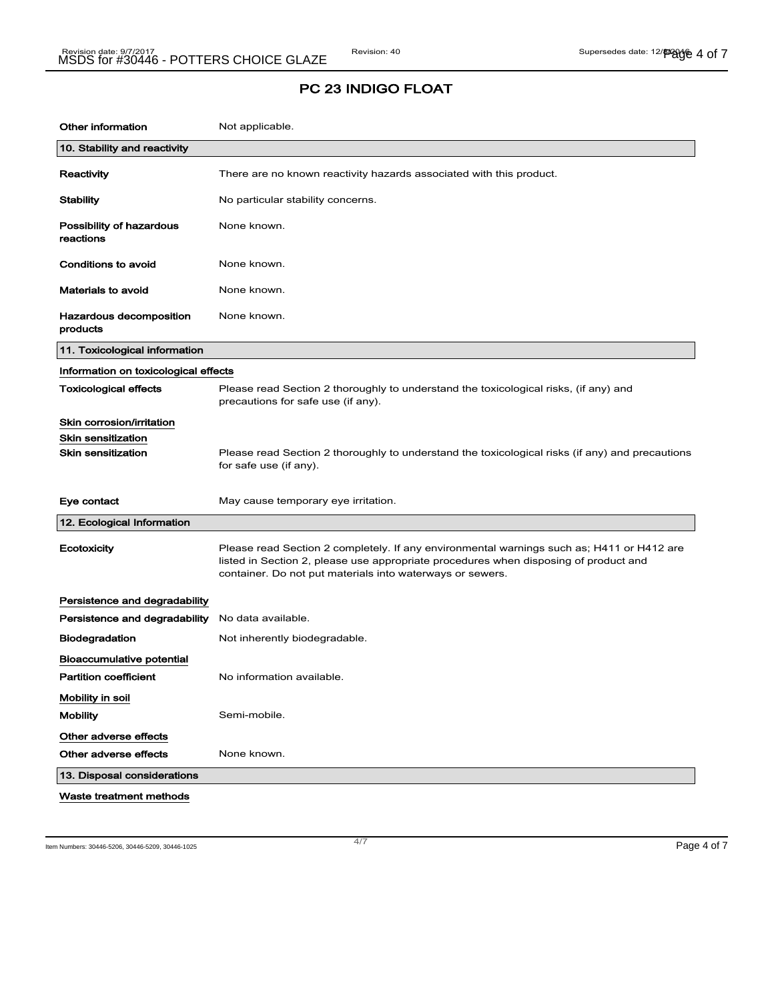| Other information                     | Not applicable.                                                                                                                                                                                                                                |
|---------------------------------------|------------------------------------------------------------------------------------------------------------------------------------------------------------------------------------------------------------------------------------------------|
| 10. Stability and reactivity          |                                                                                                                                                                                                                                                |
| Reactivity                            | There are no known reactivity hazards associated with this product.                                                                                                                                                                            |
| <b>Stability</b>                      | No particular stability concerns.                                                                                                                                                                                                              |
| Possibility of hazardous<br>reactions | None known.                                                                                                                                                                                                                                    |
| <b>Conditions to avoid</b>            | None known.                                                                                                                                                                                                                                    |
| <b>Materials to avoid</b>             | None known.                                                                                                                                                                                                                                    |
| Hazardous decomposition<br>products   | None known.                                                                                                                                                                                                                                    |
| 11. Toxicological information         |                                                                                                                                                                                                                                                |
| Information on toxicological effects  |                                                                                                                                                                                                                                                |
| Toxicological effects                 | Please read Section 2 thoroughly to understand the toxicological risks, (if any) and<br>precautions for safe use (if any).                                                                                                                     |
| Skin corrosion/irritation             |                                                                                                                                                                                                                                                |
| <b>Skin sensitization</b>             |                                                                                                                                                                                                                                                |
| <b>Skin sensitization</b>             | Please read Section 2 thoroughly to understand the toxicological risks (if any) and precautions<br>for safe use (if any).                                                                                                                      |
| Eye contact                           | May cause temporary eye irritation.                                                                                                                                                                                                            |
| 12. Ecological Information            |                                                                                                                                                                                                                                                |
| <b>Ecotoxicity</b>                    | Please read Section 2 completely. If any environmental warnings such as; H411 or H412 are<br>listed in Section 2, please use appropriate procedures when disposing of product and<br>container. Do not put materials into waterways or sewers. |
| Persistence and degradability         |                                                                                                                                                                                                                                                |
| Persistence and degradability         | No data available.                                                                                                                                                                                                                             |
| Biodegradation                        | Not inherently biodegradable.                                                                                                                                                                                                                  |
| <b>Bioaccumulative potential</b>      |                                                                                                                                                                                                                                                |
| <b>Partition coefficient</b>          | No information available.                                                                                                                                                                                                                      |
| Mobility in soil                      |                                                                                                                                                                                                                                                |
| <b>Mobility</b>                       | Semi-mobile.                                                                                                                                                                                                                                   |
| Other adverse effects                 |                                                                                                                                                                                                                                                |
| Other adverse effects                 | None known.                                                                                                                                                                                                                                    |
| 13. Disposal considerations           |                                                                                                                                                                                                                                                |
| Waste treatment methods               |                                                                                                                                                                                                                                                |

Item Numbers: 30446-5206, 30446-5209, 30446-1025 Page 4 of 7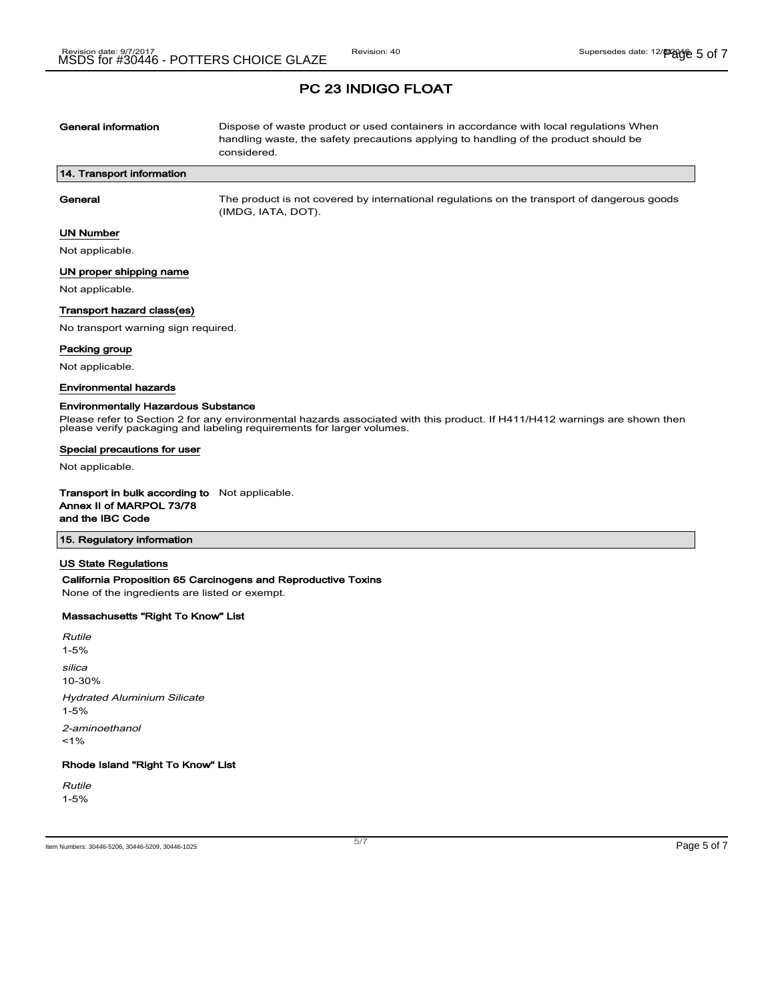| General information       | Dispose of waste product or used containers in accordance with local regulations When<br>handling waste, the safety precautions applying to handling of the product should be<br>considered. |  |
|---------------------------|----------------------------------------------------------------------------------------------------------------------------------------------------------------------------------------------|--|
| 14. Transport information |                                                                                                                                                                                              |  |
| General                   | The product is not covered by international regulations on the transport of dangerous goods<br>(IMDG, IATA, DOT).                                                                            |  |
| UN Number                 |                                                                                                                                                                                              |  |

Not applicable.

 $\sqrt{ }$ 

### UN proper shipping name

Not applicable.

#### Transport hazard class(es)

No transport warning sign required.

#### Packing group

Not applicable.

#### Environmental hazards

#### Environmentally Hazardous Substance

Please refer to Section 2 for any environmental hazards associated with this product. If H411/H412 warnings are shown then please verify packaging and labeling requirements for larger volumes.

#### Special precautions for user

Not applicable.

Transport in bulk according to Not applicable. Annex II of MARPOL 73/78 and the IBC Code

#### 15. Regulatory information

#### US State Regulations

#### California Proposition 65 Carcinogens and Reproductive Toxins

None of the ingredients are listed or exempt.

#### Massachusetts "Right To Know" List

Rutile 1-5% silica 10-30% Hydrated Aluminium Silicate 1-5% 2-aminoethanol  $1%$ 

## Rhode Island "Right To Know" List

Rutile 1-5%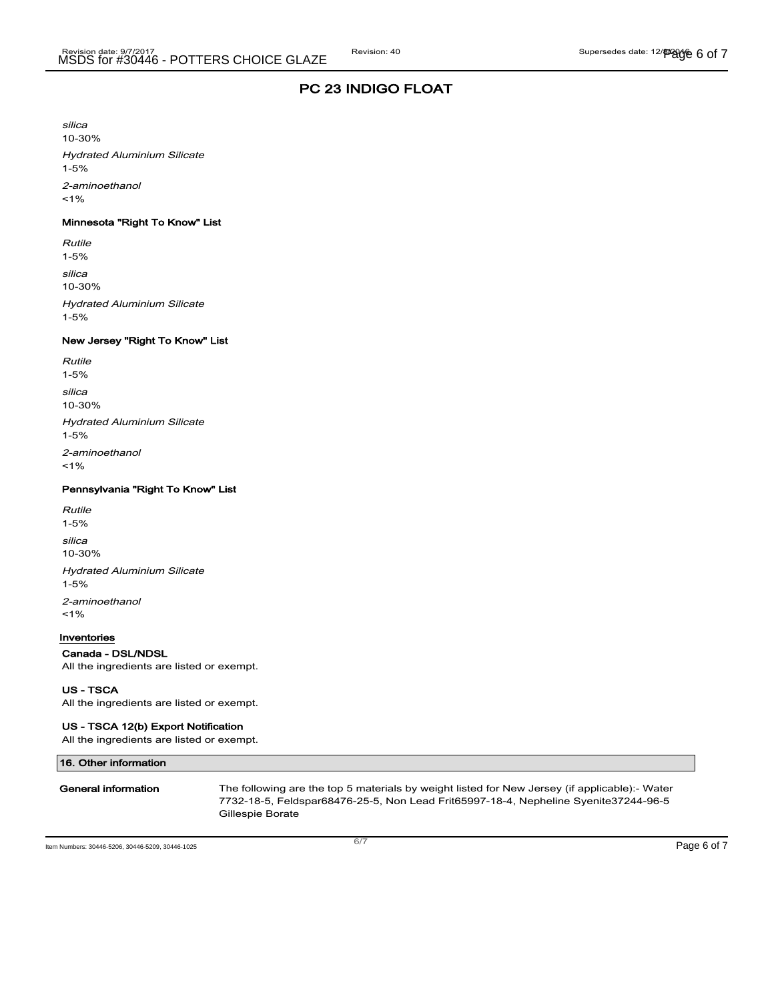silica 10-30% Hydrated Aluminium Silicate 1-5% 2-aminoethanol  $1%$ 

## Minnesota "Right To Know" List

Rutile 1-5% silica 10-30% Hydrated Aluminium Silicate 1-5%

### New Jersey "Right To Know" List

| Rutile<br>$1 - 5%$                             |  |
|------------------------------------------------|--|
| silica<br>$10 - 30%$                           |  |
| <b>Hydrated Aluminium Silicate</b><br>$1 - 5%$ |  |
| 2-aminoethanol<br>$1\%$                        |  |

#### Pennsylvania "Right To Know" List

Rutile 1-5% silica 10-30% Hydrated Aluminium Silicate 1-5% 2-aminoethanol  $1%$ 

#### Inventories

### Canada - DSL/NDSL

All the ingredients are listed or exempt.

US - TSCA

All the ingredients are listed or exempt.

### US - TSCA 12(b) Export Notification

All the ingredients are listed or exempt.

| 16. Other information |                                                                                                                                                                                                          |
|-----------------------|----------------------------------------------------------------------------------------------------------------------------------------------------------------------------------------------------------|
| General information   | The following are the top 5 materials by weight listed for New Jersey (if applicable):- Water<br>7732-18-5, Feldspar68476-25-5, Non Lead Frit65997-18-4, Nepheline Syenite37244-96-5<br>Gillespie Borate |

Item Numbers: 30446-5206, 30446-5209, 30446-1025 Page 6 of 7